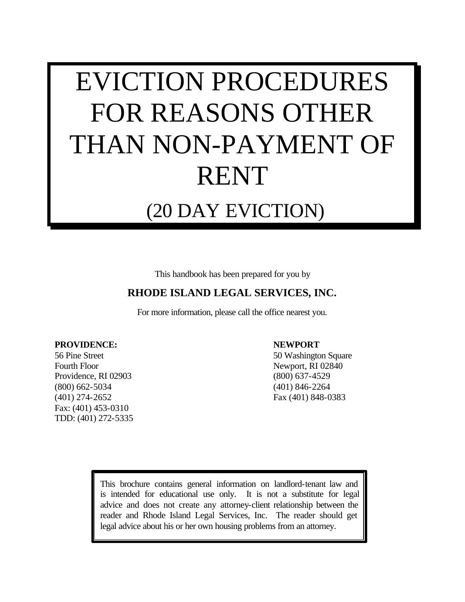# EVICTION PROCEDURES FOR REASONS OTHER THAN NON-PAYMENT OF RENT

## (20 DAY EVICTION)

This handbook has been prepared for you by

#### **RHODE ISLAND LEGAL SERVICES, INC.**

For more information, please call the office nearest you.

#### **PROVIDENCE: NEWPORT**

Fourth Floor Newport, RI 02840 Providence, RI 02903 (800) 637-4529 (800) 662-5034 (401) 846-2264 (401) 274-2652 Fax (401) 848-0383 Fax: (401) 453-0310 TDD: (401) 272-5335

56 Pine Street 50 Washington Square

This brochure contains general information on landlord-tenant law and is intended for educational use only. It is not a substitute for legal advice and does not create any attorney-client relationship between the reader and Rhode Island Legal Services, Inc. The reader should get legal advice about his or her own housing problems from an attorney.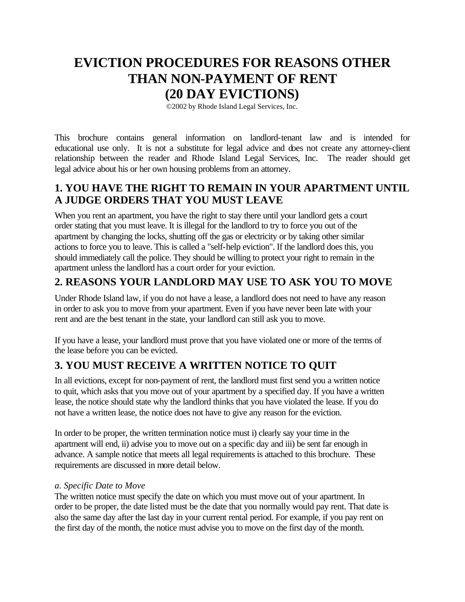### **EVICTION PROCEDURES FOR REASONS OTHER THAN NON-PAYMENT OF RENT (20 DAY EVICTIONS)**

©2002 by Rhode Island Legal Services, Inc.

This brochure contains general information on landlord-tenant law and is intended for educational use only. It is not a substitute for legal advice and does not create any attorney-client relationship between the reader and Rhode Island Legal Services, Inc. The reader should get legal advice about his or her own housing problems from an attorney.

#### **1. YOU HAVE THE RIGHT TO REMAIN IN YOUR APARTMENT UNTIL A JUDGE ORDERS THAT YOU MUST LEAVE**

When you rent an apartment, you have the right to stay there until your landlord gets a court order stating that you must leave. It is illegal for the landlord to try to force you out of the apartment by changing the locks, shutting off the gas or electricity or by taking other similar actions to force you to leave. This is called a "self-help eviction". If the landlord does this, you should immediately call the police. They should be willing to protect your right to remain in the apartment unless the landlord has a court order for your eviction.

#### **2. REASONS YOUR LANDLORD MAY USE TO ASK YOU TO MOVE**

Under Rhode Island law, if you do not have a lease, a landlord does not need to have any reason in order to ask you to move from your apartment. Even if you have never been late with your rent and are the best tenant in the state, your landlord can still ask you to move.

If you have a lease, your landlord must prove that you have violated one or more of the terms of the lease before you can be evicted.

#### **3. YOU MUST RECEIVE A WRITTEN NOTICE TO QUIT**

In all evictions, except for non-payment of rent, the landlord must first send you a written notice to quit, which asks that you move out of your apartment by a specified day. If you have a written lease, the notice should state why the landlord thinks that you have violated the lease. If you do not have a written lease, the notice does not have to give any reason for the eviction.

In order to be proper, the written termination notice must i) clearly say your time in the apartment will end, ii) advise you to move out on a specific day and iii) be sent far enough in advance. A sample notice that meets all legal requirements is attached to this brochure. These requirements are discussed in more detail below.

#### *a. Specific Date to Move*

The written notice must specify the date on which you must move out of your apartment. In order to be proper, the date listed must be the date that you normally would pay rent. That date is also the same day after the last day in your current rental period. For example, if you pay rent on the first day of the month, the notice must advise you to move on the first day of the month.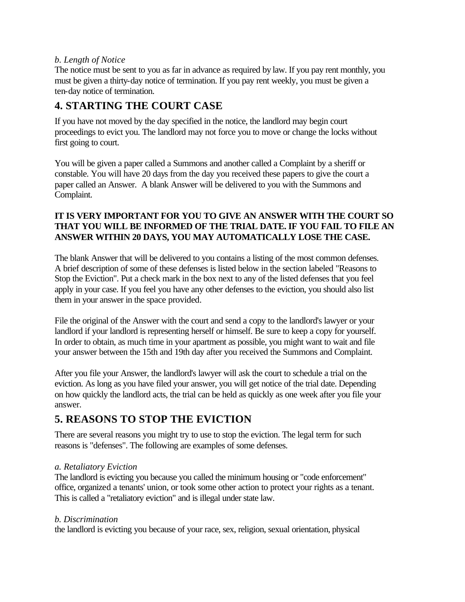#### *b. Length of Notice*

The notice must be sent to you as far in advance as required by law. If you pay rent monthly, you must be given a thirty-day notice of termination. If you pay rent weekly, you must be given a ten-day notice of termination.

#### **4. STARTING THE COURT CASE**

If you have not moved by the day specified in the notice, the landlord may begin court proceedings to evict you. The landlord may not force you to move or change the locks without first going to court.

You will be given a paper called a Summons and another called a Complaint by a sheriff or constable. You will have 20 days from the day you received these papers to give the court a paper called an Answer. A blank Answer will be delivered to you with the Summons and Complaint.

#### **IT IS VERY IMPORTANT FOR YOU TO GIVE AN ANSWER WITH THE COURT SO THAT YOU WILL BE INFORMED OF THE TRIAL DATE. IF YOU FAIL TO FILE AN ANSWER WITHIN 20 DAYS, YOU MAY AUTOMATICALLY LOSE THE CASE.**

The blank Answer that will be delivered to you contains a listing of the most common defenses. A brief description of some of these defenses is listed below in the section labeled "Reasons to Stop the Eviction". Put a check mark in the box next to any of the listed defenses that you feel apply in your case. If you feel you have any other defenses to the eviction, you should also list them in your answer in the space provided.

File the original of the Answer with the court and send a copy to the landlord's lawyer or your landlord if your landlord is representing herself or himself. Be sure to keep a copy for yourself. In order to obtain, as much time in your apartment as possible, you might want to wait and file your answer between the 15th and 19th day after you received the Summons and Complaint.

After you file your Answer, the landlord's lawyer will ask the court to schedule a trial on the eviction. As long as you have filed your answer, you will get notice of the trial date. Depending on how quickly the landlord acts, the trial can be held as quickly as one week after you file your answer.

#### **5. REASONS TO STOP THE EVICTION**

There are several reasons you might try to use to stop the eviction. The legal term for such reasons is "defenses". The following are examples of some defenses.

#### *a. Retaliatory Eviction*

The landlord is evicting you because you called the minimum housing or "code enforcement" office, organized a tenants' union, or took some other action to protect your rights as a tenant. This is called a "retaliatory eviction" and is illegal under state law.

#### *b. Discrimination*

the landlord is evicting you because of your race, sex, religion, sexual orientation, physical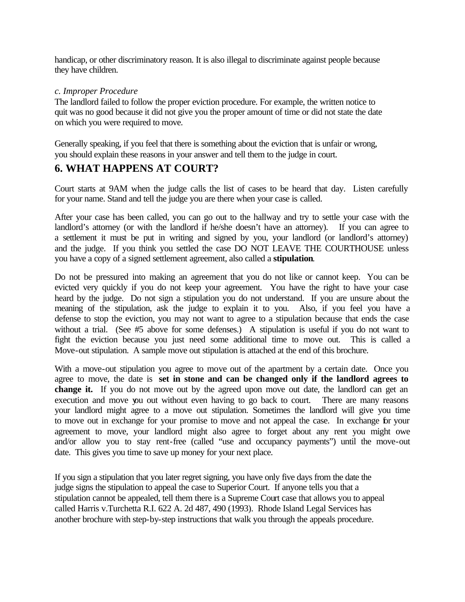handicap, or other discriminatory reason. It is also illegal to discriminate against people because they have children.

#### *c. Improper Procedure*

The landlord failed to follow the proper eviction procedure. For example, the written notice to quit was no good because it did not give you the proper amount of time or did not state the date on which you were required to move.

Generally speaking, if you feel that there is something about the eviction that is unfair or wrong, you should explain these reasons in your answer and tell them to the judge in court.

#### **6. WHAT HAPPENS AT COURT?**

Court starts at 9AM when the judge calls the list of cases to be heard that day. Listen carefully for your name. Stand and tell the judge you are there when your case is called.

After your case has been called, you can go out to the hallway and try to settle your case with the landlord's attorney (or with the landlord if he/she doesn't have an attorney). If you can agree to a settlement it must be put in writing and signed by you, your landlord (or landlord's attorney) and the judge. If you think you settled the case DO NOT LEAVE THE COURTHOUSE unless you have a copy of a signed settlement agreement, also called a **stipulation**.

Do not be pressured into making an agreement that you do not like or cannot keep. You can be evicted very quickly if you do not keep your agreement. You have the right to have your case heard by the judge. Do not sign a stipulation you do not understand. If you are unsure about the meaning of the stipulation, ask the judge to explain it to you. Also, if you feel you have a defense to stop the eviction, you may not want to agree to a stipulation because that ends the case without a trial. (See #5 above for some defenses.) A stipulation is useful if you do not want to fight the eviction because you just need some additional time to move out. This is called a Move-out stipulation. A sample move out stipulation is attached at the end of this brochure.

With a move-out stipulation you agree to move out of the apartment by a certain date. Once you agree to move, the date is **set in stone and can be changed only if the landlord agrees to change it.** If you do not move out by the agreed upon move out date, the landlord can get an execution and move you out without even having to go back to court. There are many reasons your landlord might agree to a move out stipulation. Sometimes the landlord will give you time to move out in exchange for your promise to move and not appeal the case. In exchange for your agreement to move, your landlord might also agree to forget about any rent you might owe and/or allow you to stay rent-free (called "use and occupancy payments") until the move-out date. This gives you time to save up money for your next place.

If you sign a stipulation that you later regret signing, you have only five days from the date the judge signs the stipulation to appeal the case to Superior Court. If anyone tells you that a stipulation cannot be appealed, tell them there is a Supreme Court case that allows you to appeal called Harris v.Turchetta R.I. 622 A. 2d 487, 490 (1993). Rhode Island Legal Services has another brochure with step-by-step instructions that walk you through the appeals procedure.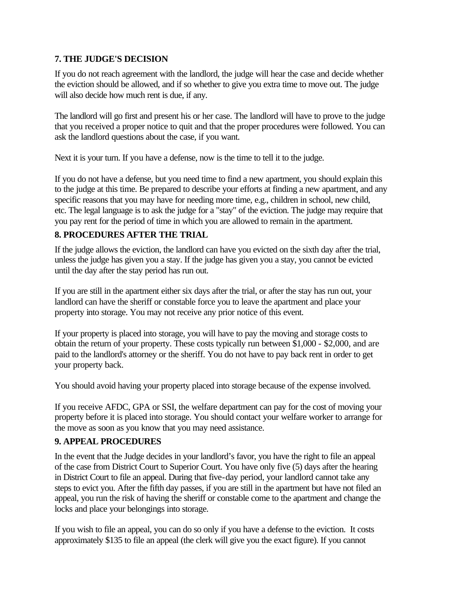#### **7. THE JUDGE'S DECISION**

If you do not reach agreement with the landlord, the judge will hear the case and decide whether the eviction should be allowed, and if so whether to give you extra time to move out. The judge will also decide how much rent is due, if any.

The landlord will go first and present his or her case. The landlord will have to prove to the judge that you received a proper notice to quit and that the proper procedures were followed. You can ask the landlord questions about the case, if you want.

Next it is your turn. If you have a defense, now is the time to tell it to the judge.

If you do not have a defense, but you need time to find a new apartment, you should explain this to the judge at this time. Be prepared to describe your efforts at finding a new apartment, and any specific reasons that you may have for needing more time, e.g., children in school, new child, etc. The legal language is to ask the judge for a "stay" of the eviction. The judge may require that you pay rent for the period of time in which you are allowed to remain in the apartment.

#### **8. PROCEDURES AFTER THE TRIAL**

If the judge allows the eviction, the landlord can have you evicted on the sixth day after the trial, unless the judge has given you a stay. If the judge has given you a stay, you cannot be evicted until the day after the stay period has run out.

If you are still in the apartment either six days after the trial, or after the stay has run out, your landlord can have the sheriff or constable force you to leave the apartment and place your property into storage. You may not receive any prior notice of this event.

If your property is placed into storage, you will have to pay the moving and storage costs to obtain the return of your property. These costs typically run between \$1,000 - \$2,000, and are paid to the landlord's attorney or the sheriff. You do not have to pay back rent in order to get your property back.

You should avoid having your property placed into storage because of the expense involved.

If you receive AFDC, GPA or SSI, the welfare department can pay for the cost of moving your property before it is placed into storage. You should contact your welfare worker to arrange for the move as soon as you know that you may need assistance.

#### **9. APPEAL PROCEDURES**

In the event that the Judge decides in your landlord's favor, you have the right to file an appeal of the case from District Court to Superior Court. You have only five (5) days after the hearing in District Court to file an appeal. During that five-day period, your landlord cannot take any steps to evict you. After the fifth day passes, if you are still in the apartment but have not filed an appeal, you run the risk of having the sheriff or constable come to the apartment and change the locks and place your belongings into storage.

If you wish to file an appeal, you can do so only if you have a defense to the eviction. It costs approximately \$135 to file an appeal (the clerk will give you the exact figure). If you cannot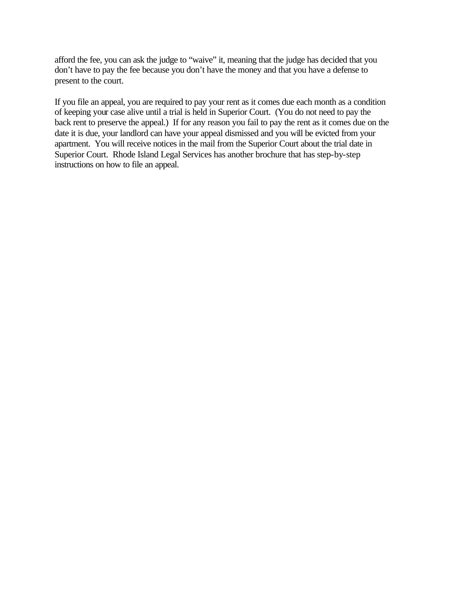afford the fee, you can ask the judge to "waive" it, meaning that the judge has decided that you don't have to pay the fee because you don't have the money and that you have a defense to present to the court.

If you file an appeal, you are required to pay your rent as it comes due each month as a condition of keeping your case alive until a trial is held in Superior Court. (You do not need to pay the back rent to preserve the appeal.) If for any reason you fail to pay the rent as it comes due on the date it is due, your landlord can have your appeal dismissed and you will be evicted from your apartment. You will receive notices in the mail from the Superior Court about the trial date in Superior Court. Rhode Island Legal Services has another brochure that has step-by-step instructions on how to file an appeal.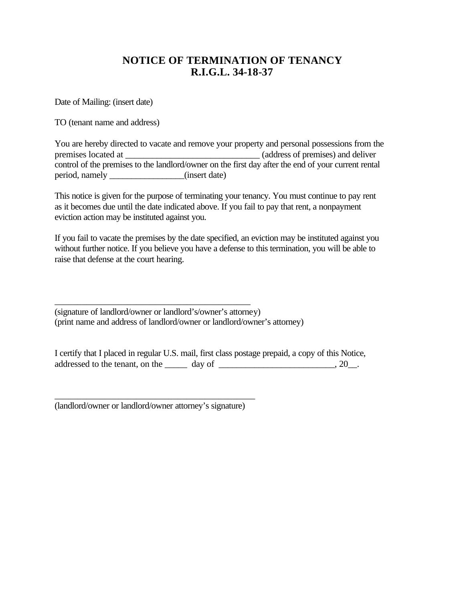#### **NOTICE OF TERMINATION OF TENANCY R.I.G.L. 34-18-37**

Date of Mailing: (insert date)

TO (tenant name and address)

You are hereby directed to vacate and remove your property and personal possessions from the premises located at \_\_\_\_\_\_\_\_\_\_\_\_\_\_\_\_\_\_\_\_\_\_\_\_\_\_\_\_\_\_\_\_\_\_ (address of premises) and deliver control of the premises to the landlord/owner on the first day after the end of your current rental period, namely \_\_\_\_\_\_\_\_\_\_\_\_\_\_(insert date)

This notice is given for the purpose of terminating your tenancy. You must continue to pay rent as it becomes due until the date indicated above. If you fail to pay that rent, a nonpayment eviction action may be instituted against you.

If you fail to vacate the premises by the date specified, an eviction may be instituted against you without further notice. If you believe you have a defense to this termination, you will be able to raise that defense at the court hearing.

(signature of landlord/owner or landlord's/owner's attorney) (print name and address of landlord/owner or landlord/owner's attorney)

I certify that I placed in regular U.S. mail, first class postage prepaid, a copy of this Notice, addressed to the tenant, on the  $\_\_\_\_$  day of  $\_\_\_\_\_\_\_\_$ . 20 $\_\_\_\_\_\_\_$ .

\_\_\_\_\_\_\_\_\_\_\_\_\_\_\_\_\_\_\_\_\_\_\_\_\_\_\_\_\_\_\_\_\_\_\_\_\_\_\_\_\_\_\_\_ (landlord/owner or landlord/owner attorney's signature)

\_\_\_\_\_\_\_\_\_\_\_\_\_\_\_\_\_\_\_\_\_\_\_\_\_\_\_\_\_\_\_\_\_\_\_\_\_\_\_\_\_\_\_